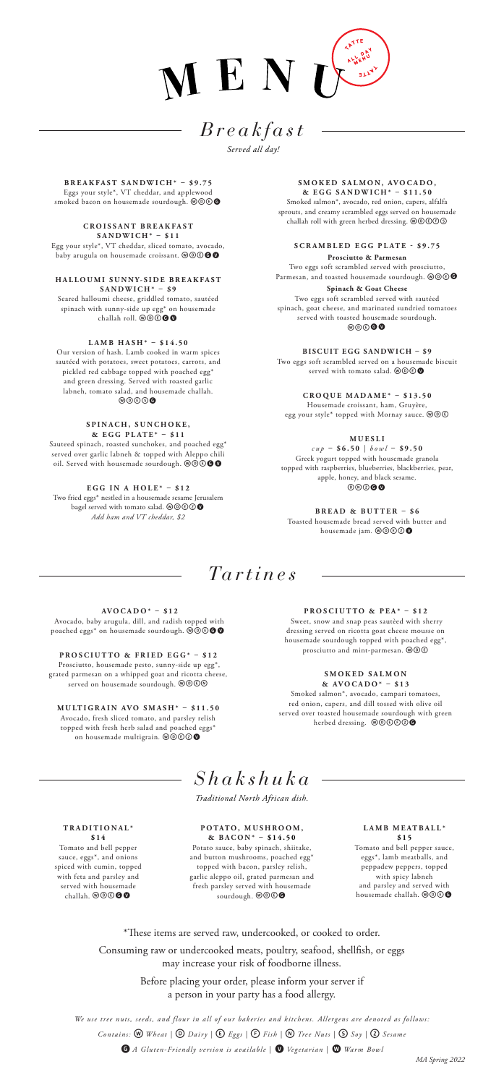

# *Breakfast*

*Served all day!*

**BREAKFAST SANDWICH\* – \$9.75** Eggs your style\*, VT cheddar, and applewood smoked bacon on housemade sourdough. @  $\circledcirc$ 

**C R O I S S A N T B R E A K F A S T SANDWICH\* – \$11** Egg your style\*, VT cheddar, sliced tomato, avocado, baby arugula on housemade croissant.  $\textcircled{\textcircled{\small{o}}}$ 

**H A L L O U M I S U N N Y- S I D E B R E A K F A S T SANDWICH\* – \$9** Seared halloumi cheese, griddled tomato, sautéed

spinach with sunny-side up egg\* on housemade<br>challah roll. @@**@@** 

## **LAMB HASH\* – \$14.50**

Our version of hash. Lamb cooked in warm spices sautéed with potatoes, sweet potatoes, carrots, and pickled red cabbage topped with poached egg\* and green dressing. Served with roasted garlic labneh, tomato salad, and housemade challah. wdesG

#### **SPINACH, SUNCHOKE, & EGG PLATE\* – \$11**

Sauteed spinach, roasted sunchokes, and poached egg\* served over garlic labneh & topped with Aleppo chili<br>oil. Served with housemade sourdough. @©©●●

**EGG IN A HOLE\* – \$12** Two fried eggs\* nestled in a housemade sesame Jerusalem<br>bagel served with tomato salad. @©©©**©** *Add ham and VT cheddar, \$2*

SMOKED SALMON, AVOCADO, **& EGG SANDWICH\* – \$11.50**

Smoked salmon\*, avocado, red onion, capers, alfalfa sprouts, and creamy scrambled eggs served on housemade challah roll with green herbed dressing. @@@@@

**SCRAMBLED EGG PLATE - \$9.75 Prosciutto & Parmesan** Two eggs soft scrambled served with prosciutto,

Parmesan, and toasted housemade sourdough.  $\textcircled{\textbf{0}\oplus\textbf{0}}$ **Spinach & Goat Cheese** Two eggs soft scrambled served with sautéed spinach, goat cheese, and marinated sundried tomatoes served with toasted housemade sourdough. wdeGv

**BISCUIT EGG SANDWICH – \$9** Two eggs soft scrambled served on a housemade biscuit served with tomato salad.  $\textcircled{\tiny{w}}\textcircled{\tiny{w}}$ 

**CROQUE MADAME\* – \$13.50** Housemade croissant, ham, Gruyère,

egg your style\* topped with Mornay sauce.  $\circledast\circledast$ 

### **M U E S L I**

*cup* **– \$6.50** | *bowl* **– \$9.50** Greek yogurt topped with housemade granola topped with raspberries, blueberries, blackberries, pear, apple, honey, and black sesame.  $\circledcirc\circ\bullet\bullet$ 

**BREAD & BUTTER – \$6** Toasted housemade bread served with butter and housemade jam. @@**@** 

# *Tartines*

**AVOCADO\* – \$12** Avocado, baby arugula, dill, and radish topped with poached eggs\* on housemade sourdough.  $\tilde{\text{O}}\text{O}\text{O}$ 

**PROSCIUTTO & FRIED EGG\* – \$12** Prosciutto, housemade pesto, sunny-side up egg\*, grated parmesan on a whipped goat and ricotta cheese,<br>served on housemade sourdough. @@@@

**MULTIGRAIN AVO SMASH\* – \$11.50** Avocado, fresh sliced tomato, and parsley relish topped with fresh herb salad and poached eggs\*<br>on housemade multigrain. **@@@@** 

**PROSCIUTTO & PEA\* – \$12**

 Sweet, snow and snap peas sautèed with sherry dressing served on ricotta goat cheese mousse on housemade sourdough topped with poached egg\*, prosciutto and mint-parmesan. @ OC

#### **S M O K E D S A L M O N & AVOCADO\* – \$13**

Smoked salmon\*, avocado, campari tomatoes, red onion, capers, and dill tossed with olive oil served over toasted housemade sourdough with green herbed dressing. @@ $\bullet$ 

# *Shakshuka*

*Traditional North African dish.*

#### **TRADITIONAL\* \$14**

Tomato and bell pepper sauce, eggs\*, and onions spiced with cumin, topped with feta and parsley and served with housemade challah. WOOOO

**POTATO, MUSHROOM, & BACON\* – \$14.50**

Potato sauce, baby spinach, shiitake, and button mushrooms, poached egg\* topped with bacon, parsley relish, garlic aleppo oil, grated parmesan and fresh parsley served with housemade sourdough.  $\mathcal{O} \mathbb{O} \mathbb{G}$ 

#### **LAMB MEATBALL\* \$15**

Tomato and bell pepper sauce, eggs\*, lamb meatballs, and peppadew peppers, topped with spicy labneh and parsley and served with<br>housemade challah.  $\textcircled{\o} \textcircled{\bullet}$ 

\*These items are served raw, undercooked, or cooked to order. Consuming raw or undercooked meats, poultry, seafood, shellfish, or eggs may increase your risk of foodborne illness.

> Before placing your order, please inform your server if a person in your party has a food allergy.

*We use tree nuts, seeds, and flour in all of our bakeries and kitchens. Allergens are denoted as follows: Contains:* w *Wheat |* D *Dairy |* E*Eggs |* F*Fish |* n*Tree Nuts |* S*Soy |* Z*Sesame* 

**G** A Gluten-Friendly version is available | **O** Vegetarian | **W** Warm Bowl